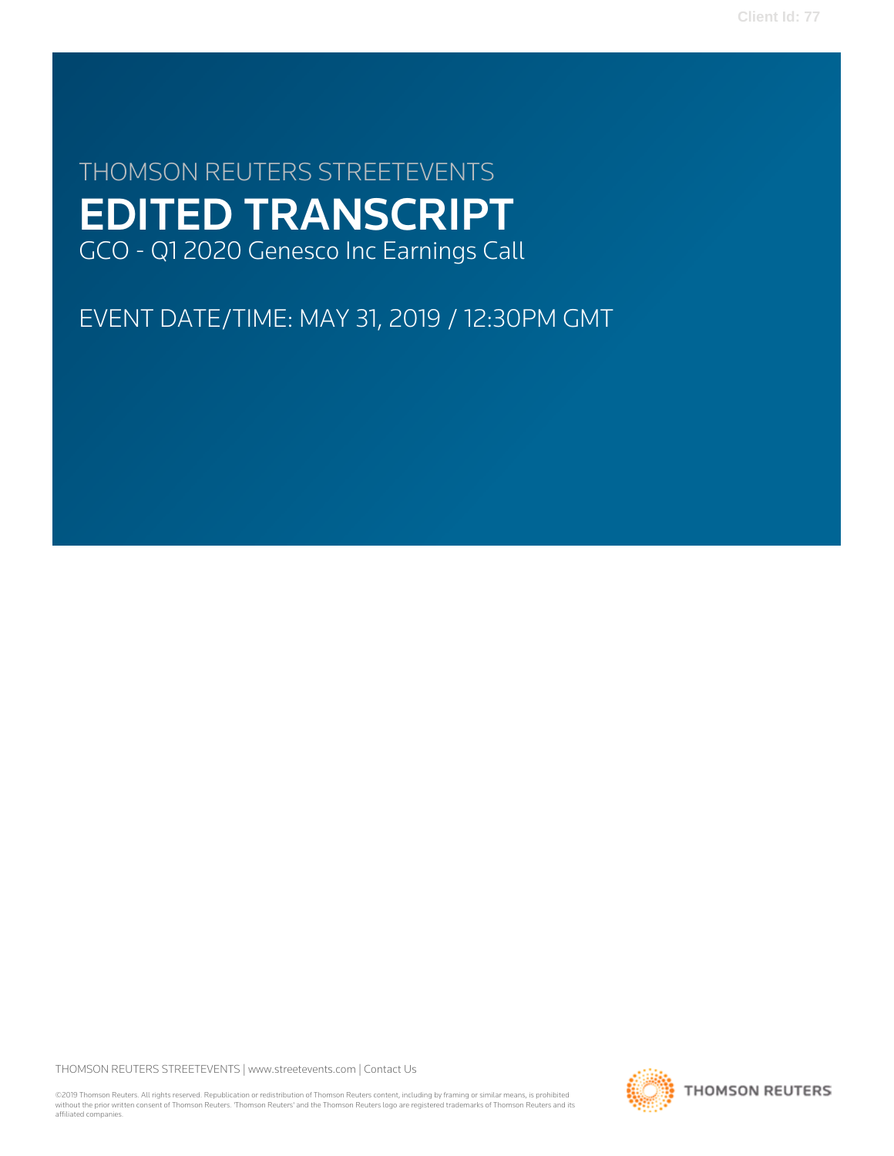**Client Id: 77**

# THOMSON REUTERS STREETEVENTS EDITED TRANSCRIPT GCO - Q1 2020 Genesco Inc Earnings Call

EVENT DATE/TIME: MAY 31, 2019 / 12:30PM GMT

THOMSON REUTERS STREETEVENTS | [www.streetevents.com](http://www.streetevents.com) | [Contact Us](http://www010.streetevents.com/contact.asp)

©2019 Thomson Reuters. All rights reserved. Republication or redistribution of Thomson Reuters content, including by framing or similar means, is prohibited without the prior written consent of Thomson Reuters. 'Thomson Reuters' and the Thomson Reuters logo are registered trademarks of Thomson Reuters and its affiliated companies.

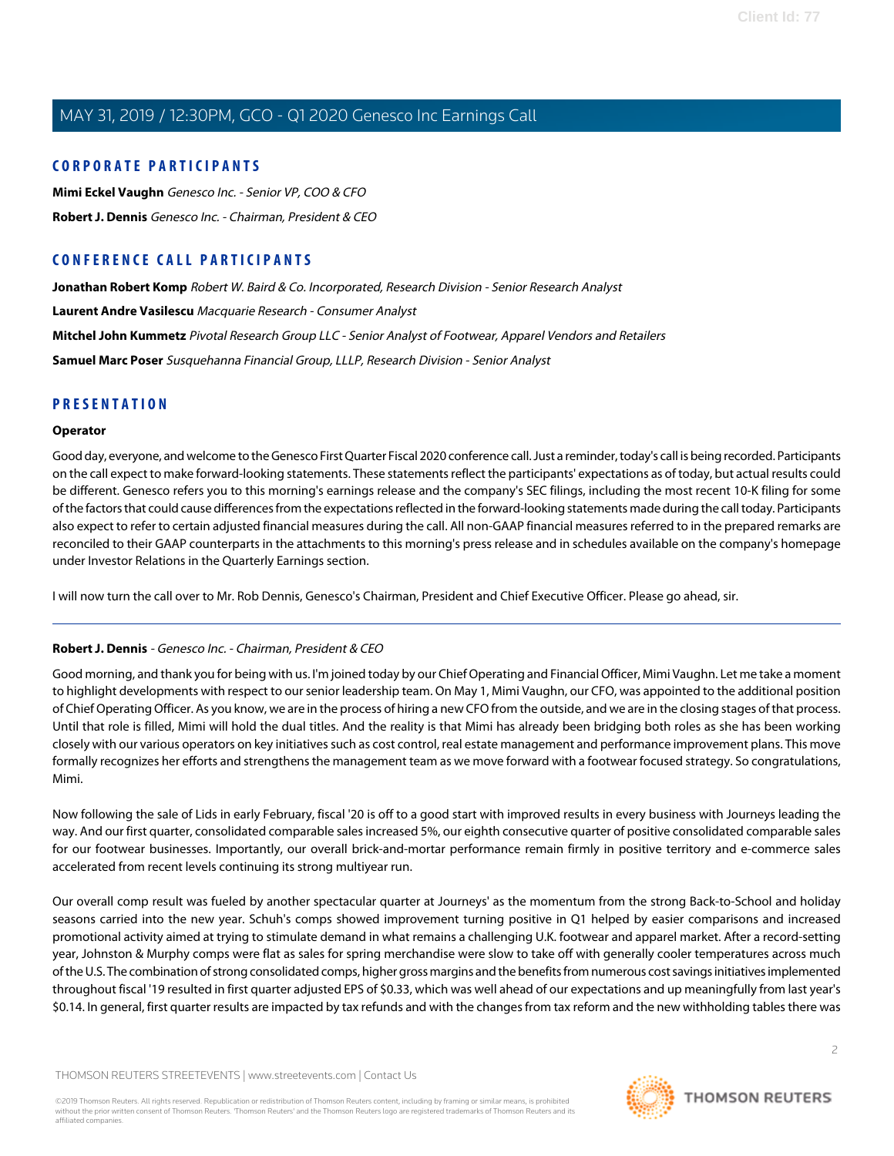## **CORPORATE PARTICIPANTS**

**[Mimi Eckel Vaughn](#page-3-0)** Genesco Inc. - Senior VP, COO & CFO **[Robert J. Dennis](#page-1-0)** Genesco Inc. - Chairman, President & CEO

## **CONFERENCE CALL PARTICIPANTS**

**[Jonathan Robert Komp](#page-10-0)** Robert W. Baird & Co. Incorporated, Research Division - Senior Research Analyst

**[Laurent Andre Vasilescu](#page-9-0)** Macquarie Research - Consumer Analyst

**[Mitchel John Kummetz](#page-7-0)** Pivotal Research Group LLC - Senior Analyst of Footwear, Apparel Vendors and Retailers

**[Samuel Marc Poser](#page-12-0)** Susquehanna Financial Group, LLLP, Research Division - Senior Analyst

## **PRESENTATION**

#### **Operator**

Good day, everyone, and welcome to the Genesco First Quarter Fiscal 2020 conference call. Just a reminder, today's call is being recorded. Participants on the call expect to make forward-looking statements. These statements reflect the participants' expectations as of today, but actual results could be different. Genesco refers you to this morning's earnings release and the company's SEC filings, including the most recent 10-K filing for some of the factors that could cause differences from the expectations reflected in the forward-looking statements made during the call today. Participants also expect to refer to certain adjusted financial measures during the call. All non-GAAP financial measures referred to in the prepared remarks are reconciled to their GAAP counterparts in the attachments to this morning's press release and in schedules available on the company's homepage under Investor Relations in the Quarterly Earnings section.

<span id="page-1-0"></span>I will now turn the call over to Mr. Rob Dennis, Genesco's Chairman, President and Chief Executive Officer. Please go ahead, sir.

#### **Robert J. Dennis** - Genesco Inc. - Chairman, President & CEO

Good morning, and thank you for being with us. I'm joined today by our Chief Operating and Financial Officer, Mimi Vaughn. Let me take a moment to highlight developments with respect to our senior leadership team. On May 1, Mimi Vaughn, our CFO, was appointed to the additional position of Chief Operating Officer. As you know, we are in the process of hiring a new CFO from the outside, and we are in the closing stages of that process. Until that role is filled, Mimi will hold the dual titles. And the reality is that Mimi has already been bridging both roles as she has been working closely with our various operators on key initiatives such as cost control, real estate management and performance improvement plans. This move formally recognizes her efforts and strengthens the management team as we move forward with a footwear focused strategy. So congratulations, Mimi.

Now following the sale of Lids in early February, fiscal '20 is off to a good start with improved results in every business with Journeys leading the way. And our first quarter, consolidated comparable sales increased 5%, our eighth consecutive quarter of positive consolidated comparable sales for our footwear businesses. Importantly, our overall brick-and-mortar performance remain firmly in positive territory and e-commerce sales accelerated from recent levels continuing its strong multiyear run.

Our overall comp result was fueled by another spectacular quarter at Journeys' as the momentum from the strong Back-to-School and holiday seasons carried into the new year. Schuh's comps showed improvement turning positive in Q1 helped by easier comparisons and increased promotional activity aimed at trying to stimulate demand in what remains a challenging U.K. footwear and apparel market. After a record-setting year, Johnston & Murphy comps were flat as sales for spring merchandise were slow to take off with generally cooler temperatures across much of the U.S. The combination of strong consolidated comps, higher gross margins and the benefits from numerous cost savings initiatives implemented throughout fiscal '19 resulted in first quarter adjusted EPS of \$0.33, which was well ahead of our expectations and up meaningfully from last year's \$0.14. In general, first quarter results are impacted by tax refunds and with the changes from tax reform and the new withholding tables there was

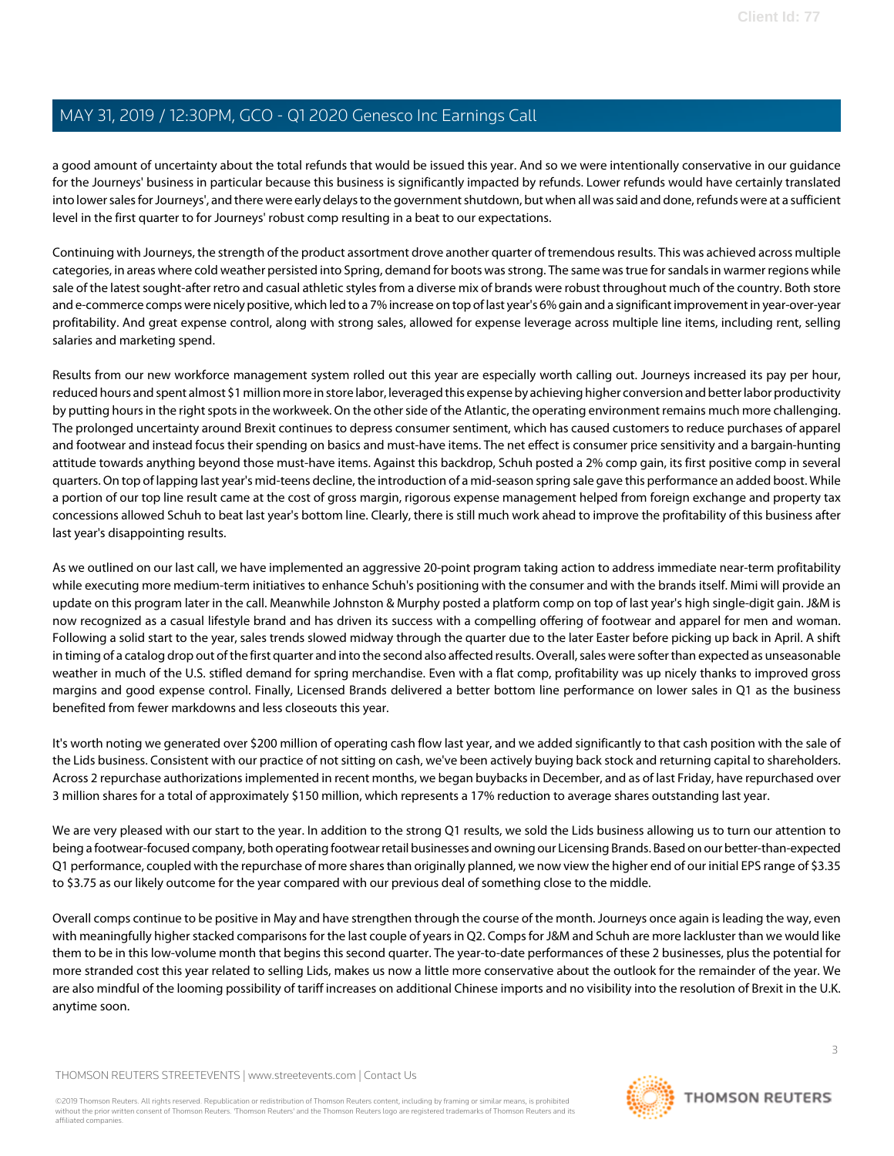a good amount of uncertainty about the total refunds that would be issued this year. And so we were intentionally conservative in our guidance for the Journeys' business in particular because this business is significantly impacted by refunds. Lower refunds would have certainly translated into lower sales for Journeys', and there were early delays to the government shutdown, but when all was said and done, refunds were at a sufficient level in the first quarter to for Journeys' robust comp resulting in a beat to our expectations.

Continuing with Journeys, the strength of the product assortment drove another quarter of tremendous results. This was achieved across multiple categories, in areas where cold weather persisted into Spring, demand for boots was strong. The same was true for sandals in warmer regions while sale of the latest sought-after retro and casual athletic styles from a diverse mix of brands were robust throughout much of the country. Both store and e-commerce comps were nicely positive, which led to a 7% increase on top of last year's 6% gain and a significant improvement in year-over-year profitability. And great expense control, along with strong sales, allowed for expense leverage across multiple line items, including rent, selling salaries and marketing spend.

Results from our new workforce management system rolled out this year are especially worth calling out. Journeys increased its pay per hour, reduced hours and spent almost \$1 million more in store labor, leveraged this expense by achieving higher conversion and better labor productivity by putting hours in the right spots in the workweek. On the other side of the Atlantic, the operating environment remains much more challenging. The prolonged uncertainty around Brexit continues to depress consumer sentiment, which has caused customers to reduce purchases of apparel and footwear and instead focus their spending on basics and must-have items. The net effect is consumer price sensitivity and a bargain-hunting attitude towards anything beyond those must-have items. Against this backdrop, Schuh posted a 2% comp gain, its first positive comp in several quarters. On top of lapping last year's mid-teens decline, the introduction of a mid-season spring sale gave this performance an added boost. While a portion of our top line result came at the cost of gross margin, rigorous expense management helped from foreign exchange and property tax concessions allowed Schuh to beat last year's bottom line. Clearly, there is still much work ahead to improve the profitability of this business after last year's disappointing results.

As we outlined on our last call, we have implemented an aggressive 20-point program taking action to address immediate near-term profitability while executing more medium-term initiatives to enhance Schuh's positioning with the consumer and with the brands itself. Mimi will provide an update on this program later in the call. Meanwhile Johnston & Murphy posted a platform comp on top of last year's high single-digit gain. J&M is now recognized as a casual lifestyle brand and has driven its success with a compelling offering of footwear and apparel for men and woman. Following a solid start to the year, sales trends slowed midway through the quarter due to the later Easter before picking up back in April. A shift in timing of a catalog drop out of the first quarter and into the second also affected results. Overall, sales were softer than expected as unseasonable weather in much of the U.S. stifled demand for spring merchandise. Even with a flat comp, profitability was up nicely thanks to improved gross margins and good expense control. Finally, Licensed Brands delivered a better bottom line performance on lower sales in Q1 as the business benefited from fewer markdowns and less closeouts this year.

It's worth noting we generated over \$200 million of operating cash flow last year, and we added significantly to that cash position with the sale of the Lids business. Consistent with our practice of not sitting on cash, we've been actively buying back stock and returning capital to shareholders. Across 2 repurchase authorizations implemented in recent months, we began buybacks in December, and as of last Friday, have repurchased over 3 million shares for a total of approximately \$150 million, which represents a 17% reduction to average shares outstanding last year.

We are very pleased with our start to the year. In addition to the strong Q1 results, we sold the Lids business allowing us to turn our attention to being a footwear-focused company, both operating footwear retail businesses and owning our Licensing Brands. Based on our better-than-expected Q1 performance, coupled with the repurchase of more shares than originally planned, we now view the higher end of our initial EPS range of \$3.35 to \$3.75 as our likely outcome for the year compared with our previous deal of something close to the middle.

Overall comps continue to be positive in May and have strengthen through the course of the month. Journeys once again is leading the way, even with meaningfully higher stacked comparisons for the last couple of years in Q2. Comps for J&M and Schuh are more lackluster than we would like them to be in this low-volume month that begins this second quarter. The year-to-date performances of these 2 businesses, plus the potential for more stranded cost this year related to selling Lids, makes us now a little more conservative about the outlook for the remainder of the year. We are also mindful of the looming possibility of tariff increases on additional Chinese imports and no visibility into the resolution of Brexit in the U.K. anytime soon.

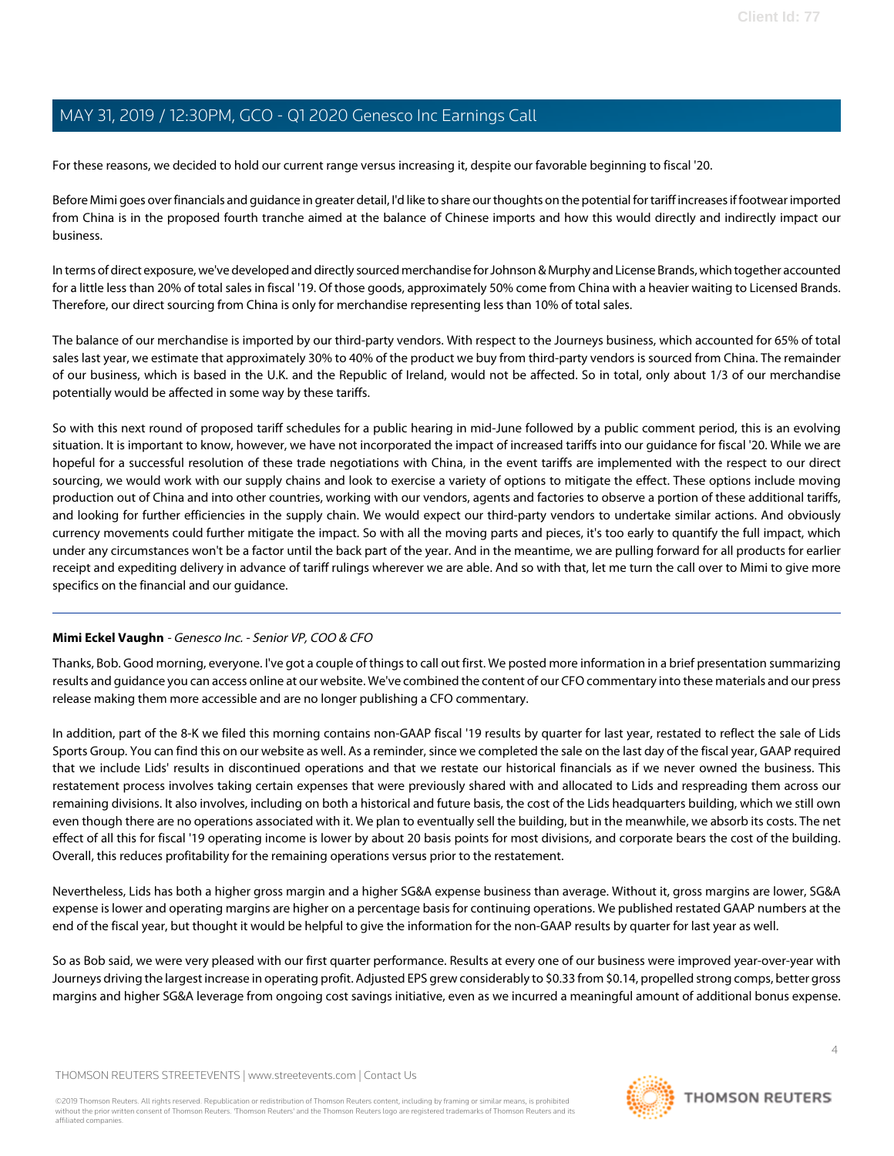For these reasons, we decided to hold our current range versus increasing it, despite our favorable beginning to fiscal '20.

Before Mimi goes over financials and guidance in greater detail, I'd like to share our thoughts on the potential for tariff increases if footwear imported from China is in the proposed fourth tranche aimed at the balance of Chinese imports and how this would directly and indirectly impact our business.

In terms of direct exposure, we've developed and directly sourced merchandise for Johnson & Murphy and License Brands, which together accounted for a little less than 20% of total sales in fiscal '19. Of those goods, approximately 50% come from China with a heavier waiting to Licensed Brands. Therefore, our direct sourcing from China is only for merchandise representing less than 10% of total sales.

The balance of our merchandise is imported by our third-party vendors. With respect to the Journeys business, which accounted for 65% of total sales last year, we estimate that approximately 30% to 40% of the product we buy from third-party vendors is sourced from China. The remainder of our business, which is based in the U.K. and the Republic of Ireland, would not be affected. So in total, only about 1/3 of our merchandise potentially would be affected in some way by these tariffs.

So with this next round of proposed tariff schedules for a public hearing in mid-June followed by a public comment period, this is an evolving situation. It is important to know, however, we have not incorporated the impact of increased tariffs into our guidance for fiscal '20. While we are hopeful for a successful resolution of these trade negotiations with China, in the event tariffs are implemented with the respect to our direct sourcing, we would work with our supply chains and look to exercise a variety of options to mitigate the effect. These options include moving production out of China and into other countries, working with our vendors, agents and factories to observe a portion of these additional tariffs, and looking for further efficiencies in the supply chain. We would expect our third-party vendors to undertake similar actions. And obviously currency movements could further mitigate the impact. So with all the moving parts and pieces, it's too early to quantify the full impact, which under any circumstances won't be a factor until the back part of the year. And in the meantime, we are pulling forward for all products for earlier receipt and expediting delivery in advance of tariff rulings wherever we are able. And so with that, let me turn the call over to Mimi to give more specifics on the financial and our guidance.

## <span id="page-3-0"></span>**Mimi Eckel Vaughn** - Genesco Inc. - Senior VP, COO & CFO

Thanks, Bob. Good morning, everyone. I've got a couple of things to call out first. We posted more information in a brief presentation summarizing results and guidance you can access online at our website. We've combined the content of our CFO commentary into these materials and our press release making them more accessible and are no longer publishing a CFO commentary.

In addition, part of the 8-K we filed this morning contains non-GAAP fiscal '19 results by quarter for last year, restated to reflect the sale of Lids Sports Group. You can find this on our website as well. As a reminder, since we completed the sale on the last day of the fiscal year, GAAP required that we include Lids' results in discontinued operations and that we restate our historical financials as if we never owned the business. This restatement process involves taking certain expenses that were previously shared with and allocated to Lids and respreading them across our remaining divisions. It also involves, including on both a historical and future basis, the cost of the Lids headquarters building, which we still own even though there are no operations associated with it. We plan to eventually sell the building, but in the meanwhile, we absorb its costs. The net effect of all this for fiscal '19 operating income is lower by about 20 basis points for most divisions, and corporate bears the cost of the building. Overall, this reduces profitability for the remaining operations versus prior to the restatement.

Nevertheless, Lids has both a higher gross margin and a higher SG&A expense business than average. Without it, gross margins are lower, SG&A expense is lower and operating margins are higher on a percentage basis for continuing operations. We published restated GAAP numbers at the end of the fiscal year, but thought it would be helpful to give the information for the non-GAAP results by quarter for last year as well.

So as Bob said, we were very pleased with our first quarter performance. Results at every one of our business were improved year-over-year with Journeys driving the largest increase in operating profit. Adjusted EPS grew considerably to \$0.33 from \$0.14, propelled strong comps, better gross margins and higher SG&A leverage from ongoing cost savings initiative, even as we incurred a meaningful amount of additional bonus expense.

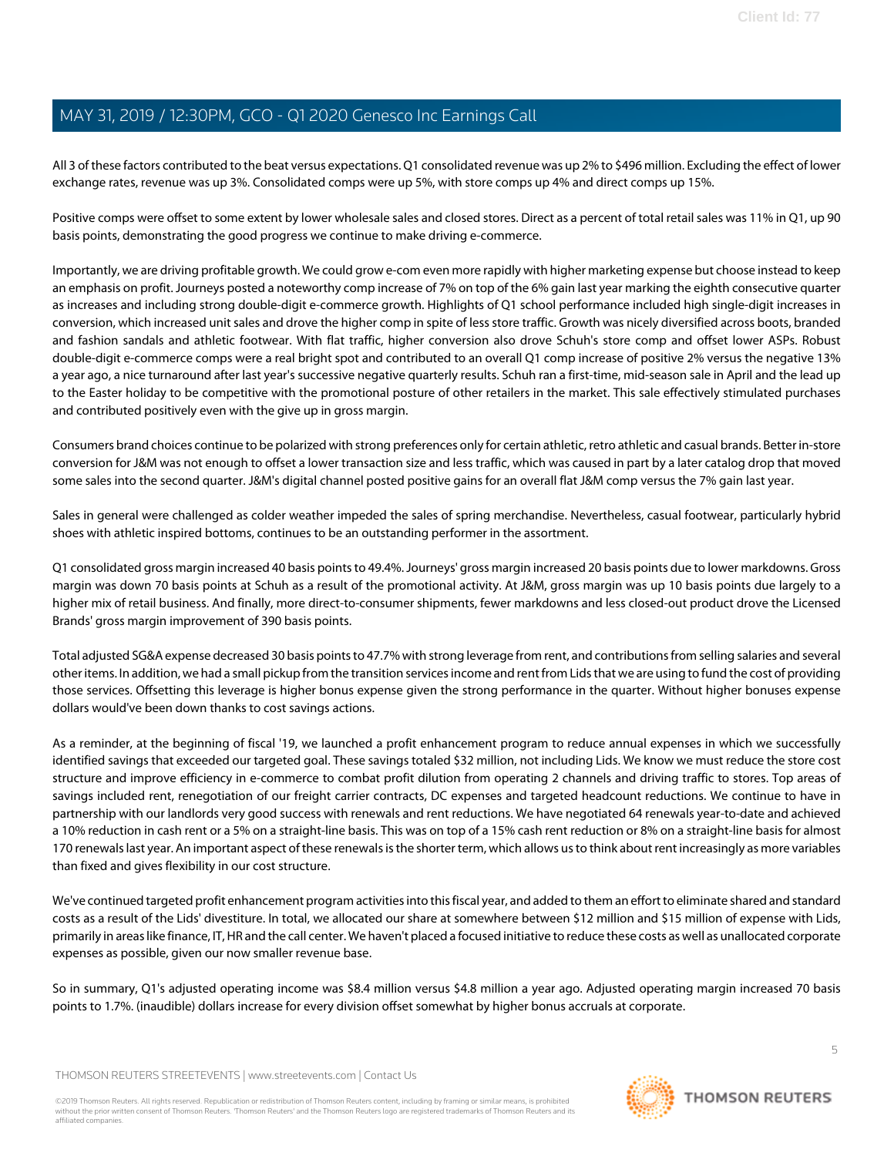All 3 of these factors contributed to the beat versus expectations. Q1 consolidated revenue was up 2% to \$496 million. Excluding the effect of lower exchange rates, revenue was up 3%. Consolidated comps were up 5%, with store comps up 4% and direct comps up 15%.

Positive comps were offset to some extent by lower wholesale sales and closed stores. Direct as a percent of total retail sales was 11% in Q1, up 90 basis points, demonstrating the good progress we continue to make driving e-commerce.

Importantly, we are driving profitable growth. We could grow e-com even more rapidly with higher marketing expense but choose instead to keep an emphasis on profit. Journeys posted a noteworthy comp increase of 7% on top of the 6% gain last year marking the eighth consecutive quarter as increases and including strong double-digit e-commerce growth. Highlights of Q1 school performance included high single-digit increases in conversion, which increased unit sales and drove the higher comp in spite of less store traffic. Growth was nicely diversified across boots, branded and fashion sandals and athletic footwear. With flat traffic, higher conversion also drove Schuh's store comp and offset lower ASPs. Robust double-digit e-commerce comps were a real bright spot and contributed to an overall Q1 comp increase of positive 2% versus the negative 13% a year ago, a nice turnaround after last year's successive negative quarterly results. Schuh ran a first-time, mid-season sale in April and the lead up to the Easter holiday to be competitive with the promotional posture of other retailers in the market. This sale effectively stimulated purchases and contributed positively even with the give up in gross margin.

Consumers brand choices continue to be polarized with strong preferences only for certain athletic, retro athletic and casual brands. Better in-store conversion for J&M was not enough to offset a lower transaction size and less traffic, which was caused in part by a later catalog drop that moved some sales into the second quarter. J&M's digital channel posted positive gains for an overall flat J&M comp versus the 7% gain last year.

Sales in general were challenged as colder weather impeded the sales of spring merchandise. Nevertheless, casual footwear, particularly hybrid shoes with athletic inspired bottoms, continues to be an outstanding performer in the assortment.

Q1 consolidated gross margin increased 40 basis points to 49.4%. Journeys' gross margin increased 20 basis points due to lower markdowns. Gross margin was down 70 basis points at Schuh as a result of the promotional activity. At J&M, gross margin was up 10 basis points due largely to a higher mix of retail business. And finally, more direct-to-consumer shipments, fewer markdowns and less closed-out product drove the Licensed Brands' gross margin improvement of 390 basis points.

Total adjusted SG&A expense decreased 30 basis points to 47.7% with strong leverage from rent, and contributions from selling salaries and several other items. In addition, we had a small pickup from the transition services income and rent from Lids that we are using to fund the cost of providing those services. Offsetting this leverage is higher bonus expense given the strong performance in the quarter. Without higher bonuses expense dollars would've been down thanks to cost savings actions.

As a reminder, at the beginning of fiscal '19, we launched a profit enhancement program to reduce annual expenses in which we successfully identified savings that exceeded our targeted goal. These savings totaled \$32 million, not including Lids. We know we must reduce the store cost structure and improve efficiency in e-commerce to combat profit dilution from operating 2 channels and driving traffic to stores. Top areas of savings included rent, renegotiation of our freight carrier contracts, DC expenses and targeted headcount reductions. We continue to have in partnership with our landlords very good success with renewals and rent reductions. We have negotiated 64 renewals year-to-date and achieved a 10% reduction in cash rent or a 5% on a straight-line basis. This was on top of a 15% cash rent reduction or 8% on a straight-line basis for almost 170 renewals last year. An important aspect of these renewals is the shorter term, which allows us to think about rent increasingly as more variables than fixed and gives flexibility in our cost structure.

We've continued targeted profit enhancement program activities into this fiscal year, and added to them an effort to eliminate shared and standard costs as a result of the Lids' divestiture. In total, we allocated our share at somewhere between \$12 million and \$15 million of expense with Lids, primarily in areas like finance, IT, HR and the call center. We haven't placed a focused initiative to reduce these costs as well as unallocated corporate expenses as possible, given our now smaller revenue base.

So in summary, Q1's adjusted operating income was \$8.4 million versus \$4.8 million a year ago. Adjusted operating margin increased 70 basis points to 1.7%. (inaudible) dollars increase for every division offset somewhat by higher bonus accruals at corporate.

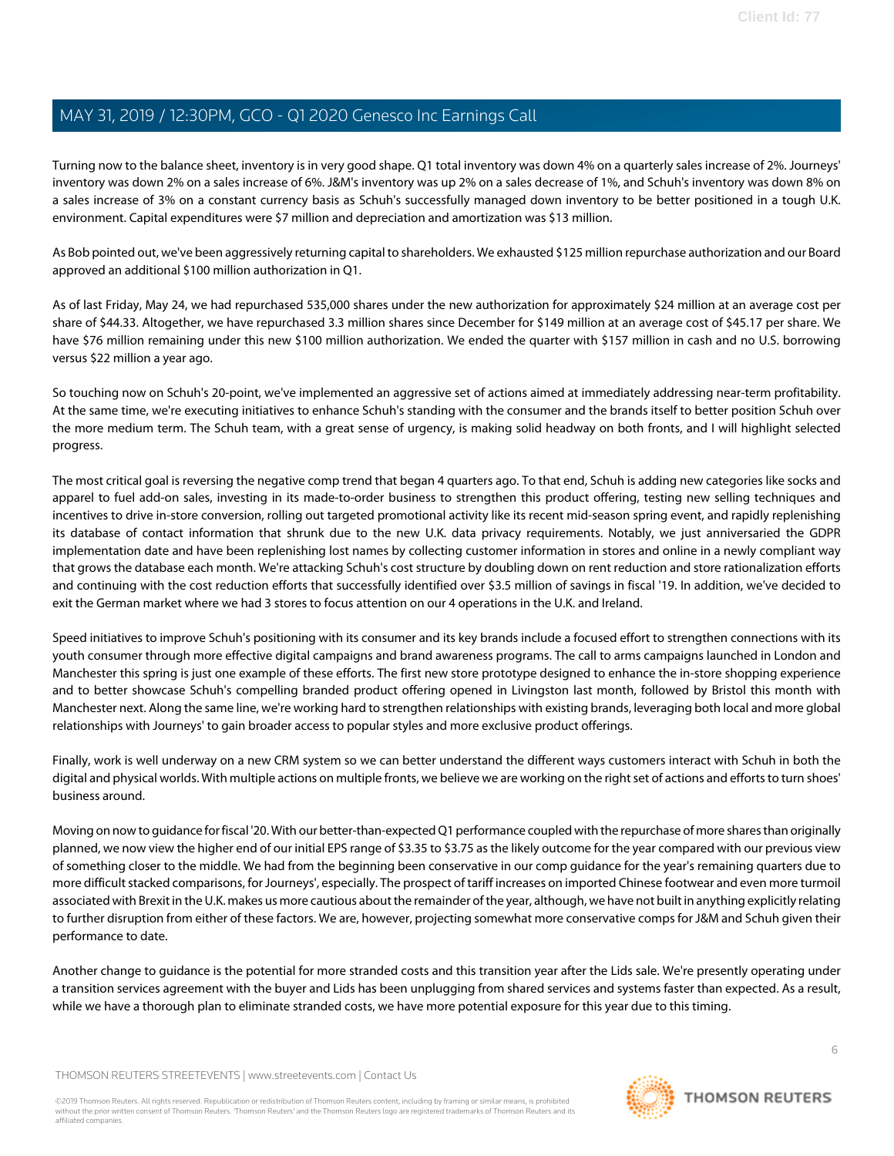Turning now to the balance sheet, inventory is in very good shape. Q1 total inventory was down 4% on a quarterly sales increase of 2%. Journeys' inventory was down 2% on a sales increase of 6%. J&M's inventory was up 2% on a sales decrease of 1%, and Schuh's inventory was down 8% on a sales increase of 3% on a constant currency basis as Schuh's successfully managed down inventory to be better positioned in a tough U.K. environment. Capital expenditures were \$7 million and depreciation and amortization was \$13 million.

As Bob pointed out, we've been aggressively returning capital to shareholders. We exhausted \$125 million repurchase authorization and our Board approved an additional \$100 million authorization in Q1.

As of last Friday, May 24, we had repurchased 535,000 shares under the new authorization for approximately \$24 million at an average cost per share of \$44.33. Altogether, we have repurchased 3.3 million shares since December for \$149 million at an average cost of \$45.17 per share. We have \$76 million remaining under this new \$100 million authorization. We ended the quarter with \$157 million in cash and no U.S. borrowing versus \$22 million a year ago.

So touching now on Schuh's 20-point, we've implemented an aggressive set of actions aimed at immediately addressing near-term profitability. At the same time, we're executing initiatives to enhance Schuh's standing with the consumer and the brands itself to better position Schuh over the more medium term. The Schuh team, with a great sense of urgency, is making solid headway on both fronts, and I will highlight selected progress.

The most critical goal is reversing the negative comp trend that began 4 quarters ago. To that end, Schuh is adding new categories like socks and apparel to fuel add-on sales, investing in its made-to-order business to strengthen this product offering, testing new selling techniques and incentives to drive in-store conversion, rolling out targeted promotional activity like its recent mid-season spring event, and rapidly replenishing its database of contact information that shrunk due to the new U.K. data privacy requirements. Notably, we just anniversaried the GDPR implementation date and have been replenishing lost names by collecting customer information in stores and online in a newly compliant way that grows the database each month. We're attacking Schuh's cost structure by doubling down on rent reduction and store rationalization efforts and continuing with the cost reduction efforts that successfully identified over \$3.5 million of savings in fiscal '19. In addition, we've decided to exit the German market where we had 3 stores to focus attention on our 4 operations in the U.K. and Ireland.

Speed initiatives to improve Schuh's positioning with its consumer and its key brands include a focused effort to strengthen connections with its youth consumer through more effective digital campaigns and brand awareness programs. The call to arms campaigns launched in London and Manchester this spring is just one example of these efforts. The first new store prototype designed to enhance the in-store shopping experience and to better showcase Schuh's compelling branded product offering opened in Livingston last month, followed by Bristol this month with Manchester next. Along the same line, we're working hard to strengthen relationships with existing brands, leveraging both local and more global relationships with Journeys' to gain broader access to popular styles and more exclusive product offerings.

Finally, work is well underway on a new CRM system so we can better understand the different ways customers interact with Schuh in both the digital and physical worlds. With multiple actions on multiple fronts, we believe we are working on the right set of actions and efforts to turn shoes' business around.

Moving on now to guidance for fiscal '20. With our better-than-expected Q1 performance coupled with the repurchase of more shares than originally planned, we now view the higher end of our initial EPS range of \$3.35 to \$3.75 as the likely outcome for the year compared with our previous view of something closer to the middle. We had from the beginning been conservative in our comp guidance for the year's remaining quarters due to more difficult stacked comparisons, for Journeys', especially. The prospect of tariff increases on imported Chinese footwear and even more turmoil associated with Brexit in the U.K. makes us more cautious about the remainder of the year, although, we have not built in anything explicitly relating to further disruption from either of these factors. We are, however, projecting somewhat more conservative comps for J&M and Schuh given their performance to date.

Another change to guidance is the potential for more stranded costs and this transition year after the Lids sale. We're presently operating under a transition services agreement with the buyer and Lids has been unplugging from shared services and systems faster than expected. As a result, while we have a thorough plan to eliminate stranded costs, we have more potential exposure for this year due to this timing.

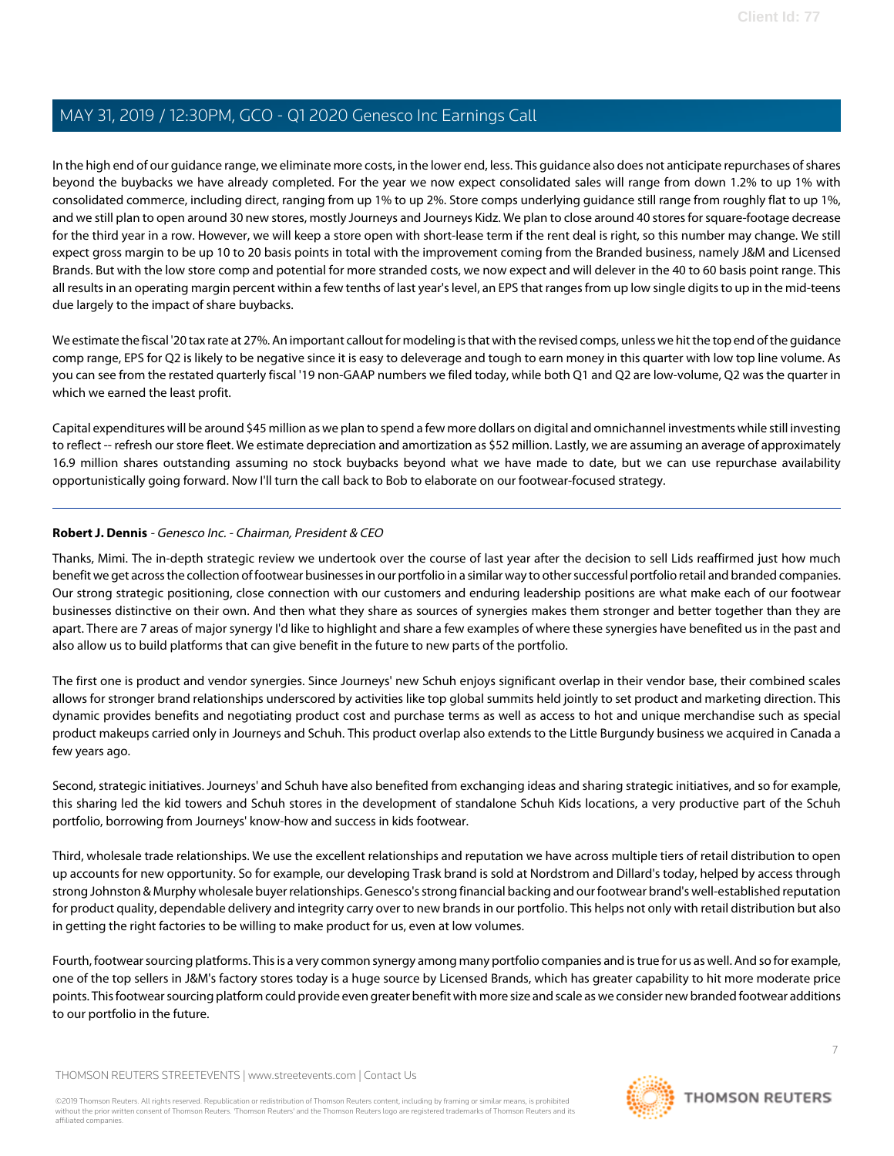In the high end of our guidance range, we eliminate more costs, in the lower end, less. This guidance also does not anticipate repurchases of shares beyond the buybacks we have already completed. For the year we now expect consolidated sales will range from down 1.2% to up 1% with consolidated commerce, including direct, ranging from up 1% to up 2%. Store comps underlying guidance still range from roughly flat to up 1%, and we still plan to open around 30 new stores, mostly Journeys and Journeys Kidz. We plan to close around 40 stores for square-footage decrease for the third year in a row. However, we will keep a store open with short-lease term if the rent deal is right, so this number may change. We still expect gross margin to be up 10 to 20 basis points in total with the improvement coming from the Branded business, namely J&M and Licensed Brands. But with the low store comp and potential for more stranded costs, we now expect and will delever in the 40 to 60 basis point range. This all results in an operating margin percent within a few tenths of last year's level, an EPS that ranges from up low single digits to up in the mid-teens due largely to the impact of share buybacks.

We estimate the fiscal '20 tax rate at 27%. An important callout for modeling is that with the revised comps, unless we hit the top end of the quidance comp range, EPS for Q2 is likely to be negative since it is easy to deleverage and tough to earn money in this quarter with low top line volume. As you can see from the restated quarterly fiscal '19 non-GAAP numbers we filed today, while both Q1 and Q2 are low-volume, Q2 was the quarter in which we earned the least profit.

Capital expenditures will be around \$45 million as we plan to spend a few more dollars on digital and omnichannel investments while still investing to reflect -- refresh our store fleet. We estimate depreciation and amortization as \$52 million. Lastly, we are assuming an average of approximately 16.9 million shares outstanding assuming no stock buybacks beyond what we have made to date, but we can use repurchase availability opportunistically going forward. Now I'll turn the call back to Bob to elaborate on our footwear-focused strategy.

## **Robert J. Dennis** - Genesco Inc. - Chairman, President & CEO

Thanks, Mimi. The in-depth strategic review we undertook over the course of last year after the decision to sell Lids reaffirmed just how much benefit we get across the collection of footwear businesses in our portfolio in a similar way to other successful portfolio retail and branded companies. Our strong strategic positioning, close connection with our customers and enduring leadership positions are what make each of our footwear businesses distinctive on their own. And then what they share as sources of synergies makes them stronger and better together than they are apart. There are 7 areas of major synergy I'd like to highlight and share a few examples of where these synergies have benefited us in the past and also allow us to build platforms that can give benefit in the future to new parts of the portfolio.

The first one is product and vendor synergies. Since Journeys' new Schuh enjoys significant overlap in their vendor base, their combined scales allows for stronger brand relationships underscored by activities like top global summits held jointly to set product and marketing direction. This dynamic provides benefits and negotiating product cost and purchase terms as well as access to hot and unique merchandise such as special product makeups carried only in Journeys and Schuh. This product overlap also extends to the Little Burgundy business we acquired in Canada a few years ago.

Second, strategic initiatives. Journeys' and Schuh have also benefited from exchanging ideas and sharing strategic initiatives, and so for example, this sharing led the kid towers and Schuh stores in the development of standalone Schuh Kids locations, a very productive part of the Schuh portfolio, borrowing from Journeys' know-how and success in kids footwear.

Third, wholesale trade relationships. We use the excellent relationships and reputation we have across multiple tiers of retail distribution to open up accounts for new opportunity. So for example, our developing Trask brand is sold at Nordstrom and Dillard's today, helped by access through strong Johnston & Murphy wholesale buyer relationships. Genesco's strong financial backing and our footwear brand's well-established reputation for product quality, dependable delivery and integrity carry over to new brands in our portfolio. This helps not only with retail distribution but also in getting the right factories to be willing to make product for us, even at low volumes.

Fourth, footwear sourcing platforms. This is a very common synergy among many portfolio companies and is true for us as well. And so for example, one of the top sellers in J&M's factory stores today is a huge source by Licensed Brands, which has greater capability to hit more moderate price points. This footwear sourcing platform could provide even greater benefit with more size and scale as we consider new branded footwear additions to our portfolio in the future.

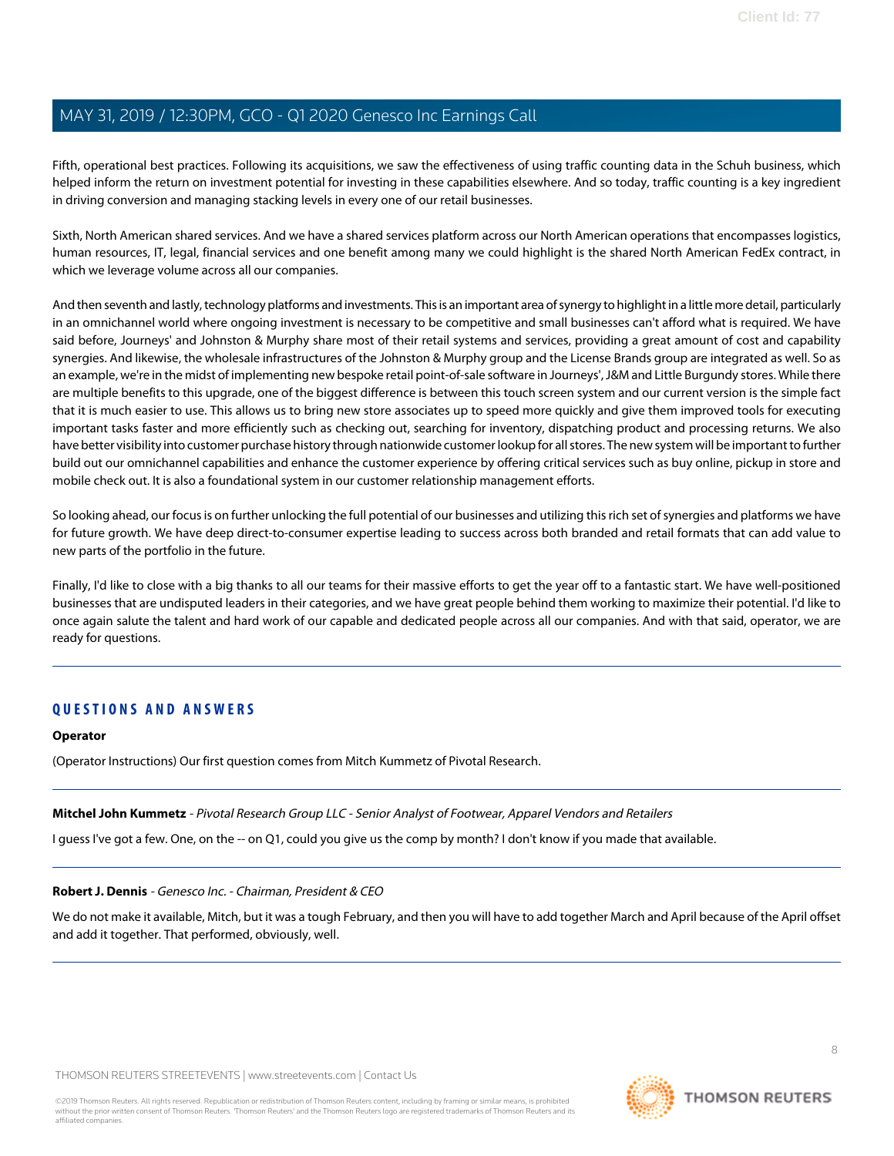Fifth, operational best practices. Following its acquisitions, we saw the effectiveness of using traffic counting data in the Schuh business, which helped inform the return on investment potential for investing in these capabilities elsewhere. And so today, traffic counting is a key ingredient in driving conversion and managing stacking levels in every one of our retail businesses.

Sixth, North American shared services. And we have a shared services platform across our North American operations that encompasses logistics, human resources, IT, legal, financial services and one benefit among many we could highlight is the shared North American FedEx contract, in which we leverage volume across all our companies.

And then seventh and lastly, technology platforms and investments. This is an important area of synergy to highlight in a little more detail, particularly in an omnichannel world where ongoing investment is necessary to be competitive and small businesses can't afford what is required. We have said before, Journeys' and Johnston & Murphy share most of their retail systems and services, providing a great amount of cost and capability synergies. And likewise, the wholesale infrastructures of the Johnston & Murphy group and the License Brands group are integrated as well. So as an example, we're in the midst of implementing new bespoke retail point-of-sale software in Journeys', J&M and Little Burgundy stores. While there are multiple benefits to this upgrade, one of the biggest difference is between this touch screen system and our current version is the simple fact that it is much easier to use. This allows us to bring new store associates up to speed more quickly and give them improved tools for executing important tasks faster and more efficiently such as checking out, searching for inventory, dispatching product and processing returns. We also have better visibility into customer purchase history through nationwide customer lookup for all stores. The new system will be important to further build out our omnichannel capabilities and enhance the customer experience by offering critical services such as buy online, pickup in store and mobile check out. It is also a foundational system in our customer relationship management efforts.

So looking ahead, our focus is on further unlocking the full potential of our businesses and utilizing this rich set of synergies and platforms we have for future growth. We have deep direct-to-consumer expertise leading to success across both branded and retail formats that can add value to new parts of the portfolio in the future.

Finally, I'd like to close with a big thanks to all our teams for their massive efforts to get the year off to a fantastic start. We have well-positioned businesses that are undisputed leaders in their categories, and we have great people behind them working to maximize their potential. I'd like to once again salute the talent and hard work of our capable and dedicated people across all our companies. And with that said, operator, we are ready for questions.

## **QUESTIONS AND ANSWERS**

#### <span id="page-7-0"></span>**Operator**

(Operator Instructions) Our first question comes from Mitch Kummetz of Pivotal Research.

#### **Mitchel John Kummetz** - Pivotal Research Group LLC - Senior Analyst of Footwear, Apparel Vendors and Retailers

I guess I've got a few. One, on the -- on Q1, could you give us the comp by month? I don't know if you made that available.

#### **Robert J. Dennis** - Genesco Inc. - Chairman, President & CEO

We do not make it available, Mitch, but it was a tough February, and then you will have to add together March and April because of the April offset and add it together. That performed, obviously, well.

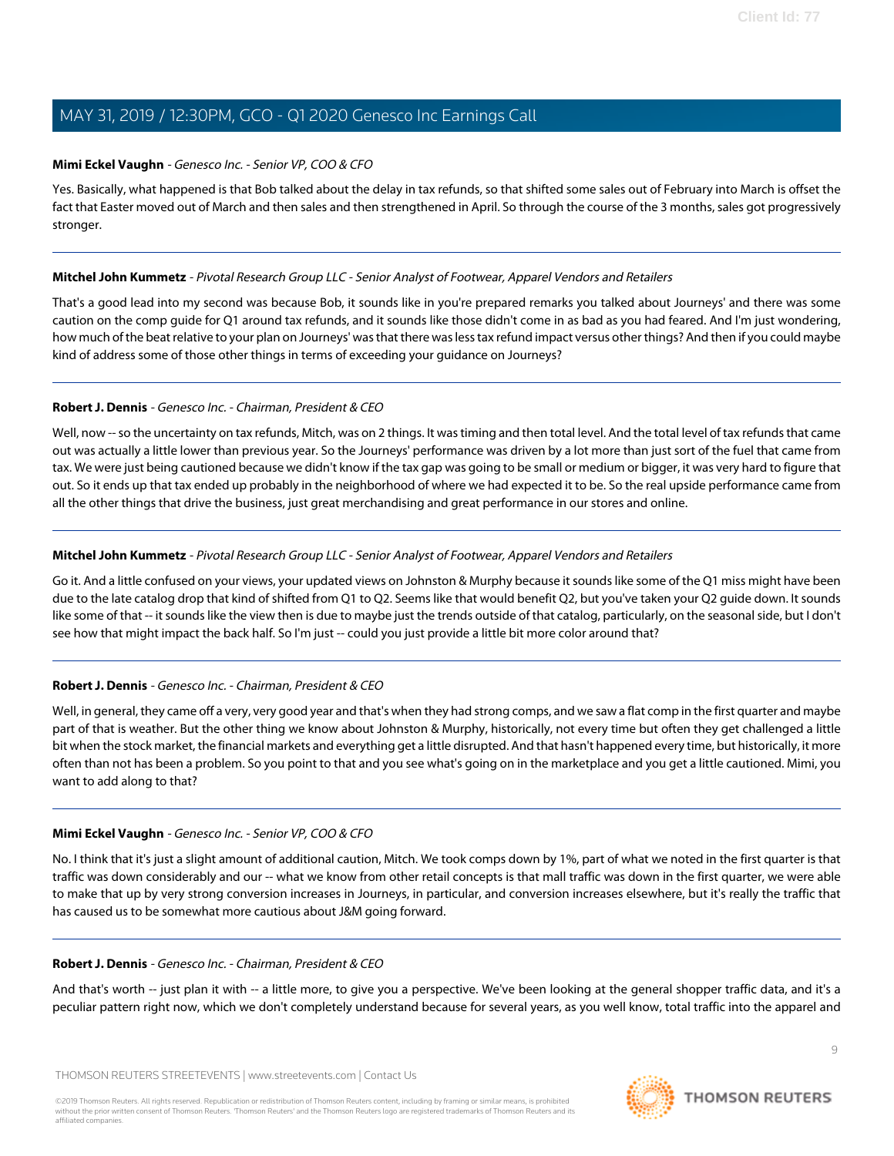#### **Mimi Eckel Vaughn** - Genesco Inc. - Senior VP, COO & CFO

Yes. Basically, what happened is that Bob talked about the delay in tax refunds, so that shifted some sales out of February into March is offset the fact that Easter moved out of March and then sales and then strengthened in April. So through the course of the 3 months, sales got progressively stronger.

#### **Mitchel John Kummetz** - Pivotal Research Group LLC - Senior Analyst of Footwear, Apparel Vendors and Retailers

That's a good lead into my second was because Bob, it sounds like in you're prepared remarks you talked about Journeys' and there was some caution on the comp guide for Q1 around tax refunds, and it sounds like those didn't come in as bad as you had feared. And I'm just wondering, how much of the beat relative to your plan on Journeys' was that there was less tax refund impact versus other things? And then if you could maybe kind of address some of those other things in terms of exceeding your guidance on Journeys?

#### **Robert J. Dennis** - Genesco Inc. - Chairman, President & CEO

Well, now -- so the uncertainty on tax refunds, Mitch, was on 2 things. It was timing and then total level. And the total level of tax refunds that came out was actually a little lower than previous year. So the Journeys' performance was driven by a lot more than just sort of the fuel that came from tax. We were just being cautioned because we didn't know if the tax gap was going to be small or medium or bigger, it was very hard to figure that out. So it ends up that tax ended up probably in the neighborhood of where we had expected it to be. So the real upside performance came from all the other things that drive the business, just great merchandising and great performance in our stores and online.

#### **Mitchel John Kummetz** - Pivotal Research Group LLC - Senior Analyst of Footwear, Apparel Vendors and Retailers

Go it. And a little confused on your views, your updated views on Johnston & Murphy because it sounds like some of the Q1 miss might have been due to the late catalog drop that kind of shifted from Q1 to Q2. Seems like that would benefit Q2, but you've taken your Q2 guide down. It sounds like some of that -- it sounds like the view then is due to maybe just the trends outside of that catalog, particularly, on the seasonal side, but I don't see how that might impact the back half. So I'm just -- could you just provide a little bit more color around that?

## **Robert J. Dennis** - Genesco Inc. - Chairman, President & CEO

Well, in general, they came off a very, very good year and that's when they had strong comps, and we saw a flat comp in the first quarter and maybe part of that is weather. But the other thing we know about Johnston & Murphy, historically, not every time but often they get challenged a little bit when the stock market, the financial markets and everything get a little disrupted. And that hasn't happened every time, but historically, it more often than not has been a problem. So you point to that and you see what's going on in the marketplace and you get a little cautioned. Mimi, you want to add along to that?

## **Mimi Eckel Vaughn** - Genesco Inc. - Senior VP, COO & CFO

No. I think that it's just a slight amount of additional caution, Mitch. We took comps down by 1%, part of what we noted in the first quarter is that traffic was down considerably and our -- what we know from other retail concepts is that mall traffic was down in the first quarter, we were able to make that up by very strong conversion increases in Journeys, in particular, and conversion increases elsewhere, but it's really the traffic that has caused us to be somewhat more cautious about J&M going forward.

#### **Robert J. Dennis** - Genesco Inc. - Chairman, President & CEO

And that's worth -- just plan it with -- a little more, to give you a perspective. We've been looking at the general shopper traffic data, and it's a peculiar pattern right now, which we don't completely understand because for several years, as you well know, total traffic into the apparel and

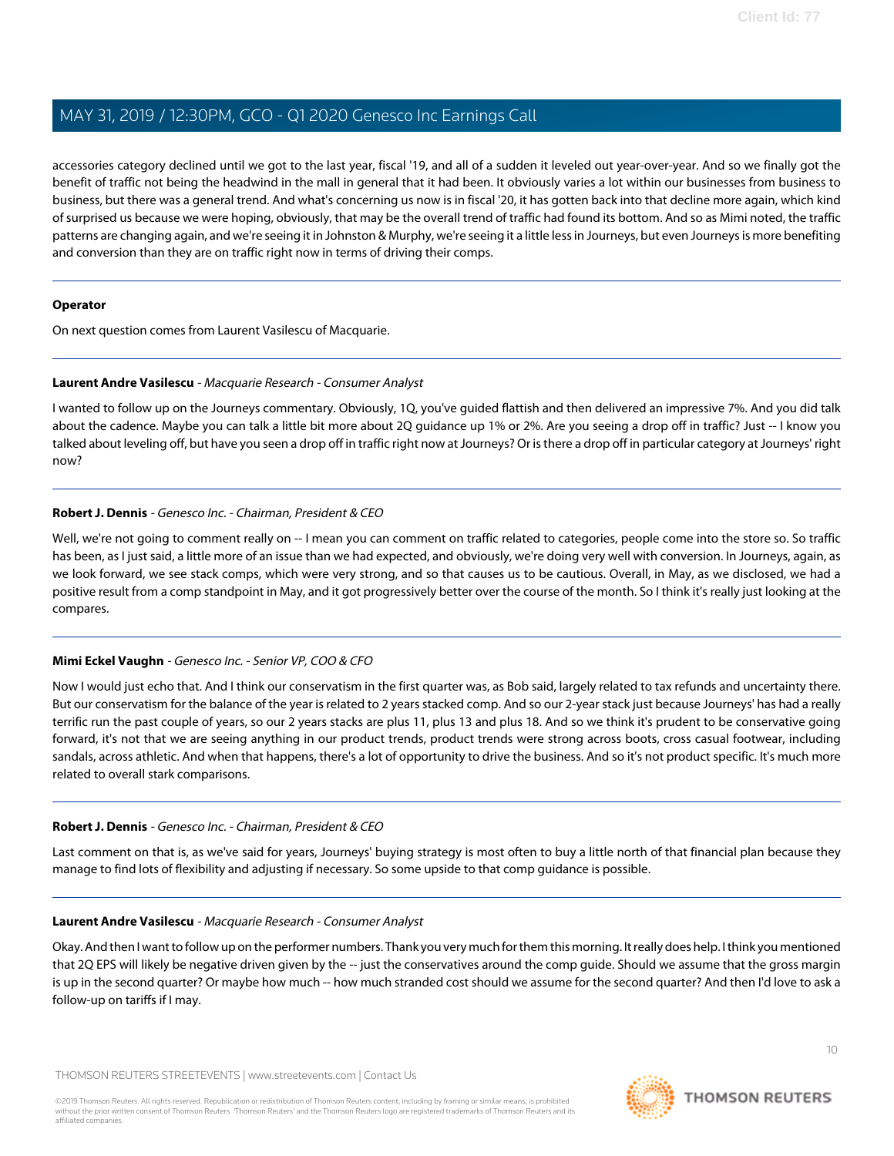accessories category declined until we got to the last year, fiscal '19, and all of a sudden it leveled out year-over-year. And so we finally got the benefit of traffic not being the headwind in the mall in general that it had been. It obviously varies a lot within our businesses from business to business, but there was a general trend. And what's concerning us now is in fiscal '20, it has gotten back into that decline more again, which kind of surprised us because we were hoping, obviously, that may be the overall trend of traffic had found its bottom. And so as Mimi noted, the traffic patterns are changing again, and we're seeing it in Johnston & Murphy, we're seeing it a little less in Journeys, but even Journeys is more benefiting and conversion than they are on traffic right now in terms of driving their comps.

#### **Operator**

<span id="page-9-0"></span>On next question comes from Laurent Vasilescu of Macquarie.

#### **Laurent Andre Vasilescu** - Macquarie Research - Consumer Analyst

I wanted to follow up on the Journeys commentary. Obviously, 1Q, you've guided flattish and then delivered an impressive 7%. And you did talk about the cadence. Maybe you can talk a little bit more about 2Q guidance up 1% or 2%. Are you seeing a drop off in traffic? Just -- I know you talked about leveling off, but have you seen a drop off in traffic right now at Journeys? Or is there a drop off in particular category at Journeys' right now?

#### **Robert J. Dennis** - Genesco Inc. - Chairman, President & CEO

Well, we're not going to comment really on -- I mean you can comment on traffic related to categories, people come into the store so. So traffic has been, as I just said, a little more of an issue than we had expected, and obviously, we're doing very well with conversion. In Journeys, again, as we look forward, we see stack comps, which were very strong, and so that causes us to be cautious. Overall, in May, as we disclosed, we had a positive result from a comp standpoint in May, and it got progressively better over the course of the month. So I think it's really just looking at the compares.

#### **Mimi Eckel Vaughn** - Genesco Inc. - Senior VP, COO & CFO

Now I would just echo that. And I think our conservatism in the first quarter was, as Bob said, largely related to tax refunds and uncertainty there. But our conservatism for the balance of the year is related to 2 years stacked comp. And so our 2-year stack just because Journeys' has had a really terrific run the past couple of years, so our 2 years stacks are plus 11, plus 13 and plus 18. And so we think it's prudent to be conservative going forward, it's not that we are seeing anything in our product trends, product trends were strong across boots, cross casual footwear, including sandals, across athletic. And when that happens, there's a lot of opportunity to drive the business. And so it's not product specific. It's much more related to overall stark comparisons.

#### **Robert J. Dennis** - Genesco Inc. - Chairman, President & CEO

Last comment on that is, as we've said for years, Journeys' buying strategy is most often to buy a little north of that financial plan because they manage to find lots of flexibility and adjusting if necessary. So some upside to that comp guidance is possible.

#### **Laurent Andre Vasilescu** - Macquarie Research - Consumer Analyst

Okay. And then I want to follow up on the performer numbers. Thank you very much for them this morning. It really does help. I think you mentioned that 2Q EPS will likely be negative driven given by the -- just the conservatives around the comp guide. Should we assume that the gross margin is up in the second quarter? Or maybe how much -- how much stranded cost should we assume for the second quarter? And then I'd love to ask a follow-up on tariffs if I may.

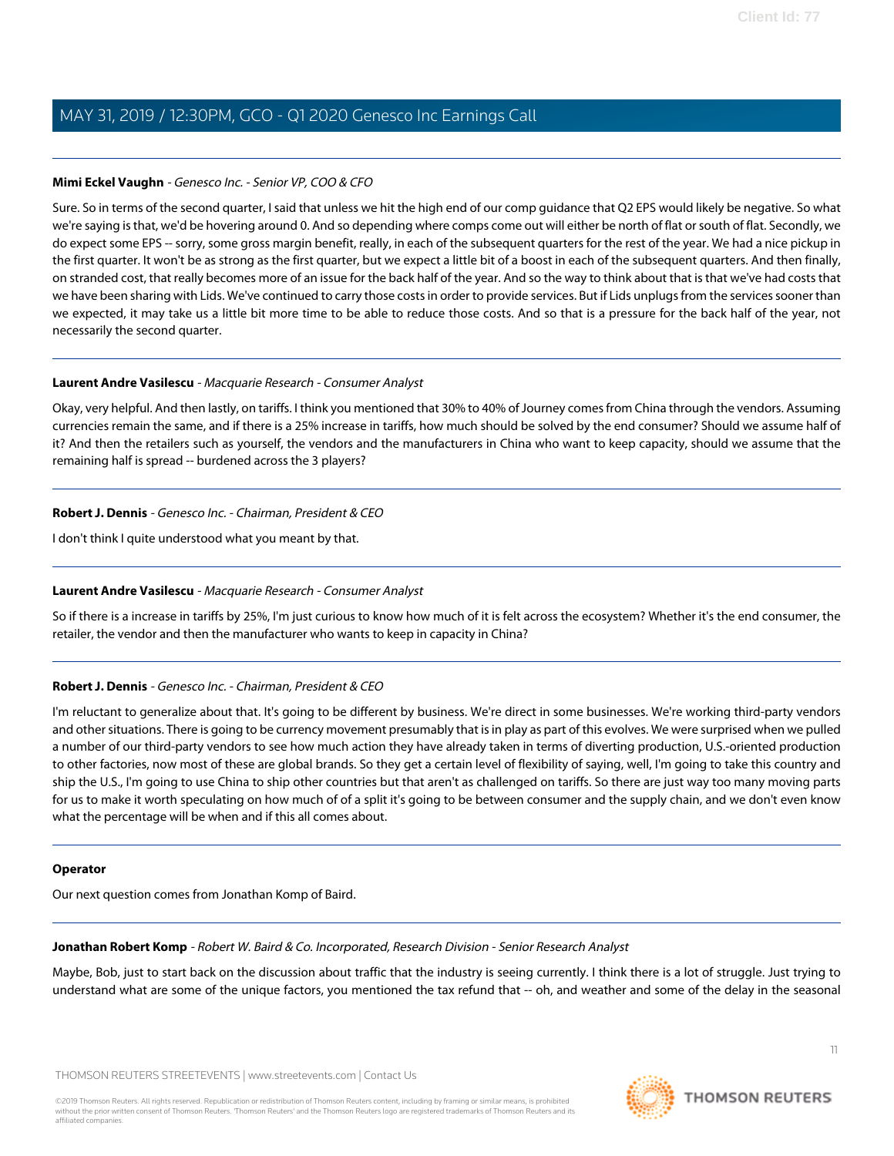#### **Mimi Eckel Vaughn** - Genesco Inc. - Senior VP, COO & CFO

Sure. So in terms of the second quarter, I said that unless we hit the high end of our comp guidance that Q2 EPS would likely be negative. So what we're saying is that, we'd be hovering around 0. And so depending where comps come out will either be north of flat or south of flat. Secondly, we do expect some EPS -- sorry, some gross margin benefit, really, in each of the subsequent quarters for the rest of the year. We had a nice pickup in the first quarter. It won't be as strong as the first quarter, but we expect a little bit of a boost in each of the subsequent quarters. And then finally, on stranded cost, that really becomes more of an issue for the back half of the year. And so the way to think about that is that we've had costs that we have been sharing with Lids. We've continued to carry those costs in order to provide services. But if Lids unplugs from the services sooner than we expected, it may take us a little bit more time to be able to reduce those costs. And so that is a pressure for the back half of the year, not necessarily the second quarter.

#### **Laurent Andre Vasilescu** - Macquarie Research - Consumer Analyst

Okay, very helpful. And then lastly, on tariffs. I think you mentioned that 30% to 40% of Journey comes from China through the vendors. Assuming currencies remain the same, and if there is a 25% increase in tariffs, how much should be solved by the end consumer? Should we assume half of it? And then the retailers such as yourself, the vendors and the manufacturers in China who want to keep capacity, should we assume that the remaining half is spread -- burdened across the 3 players?

#### **Robert J. Dennis** - Genesco Inc. - Chairman, President & CEO

I don't think I quite understood what you meant by that.

## **Laurent Andre Vasilescu** - Macquarie Research - Consumer Analyst

So if there is a increase in tariffs by 25%, I'm just curious to know how much of it is felt across the ecosystem? Whether it's the end consumer, the retailer, the vendor and then the manufacturer who wants to keep in capacity in China?

## **Robert J. Dennis** - Genesco Inc. - Chairman, President & CEO

I'm reluctant to generalize about that. It's going to be different by business. We're direct in some businesses. We're working third-party vendors and other situations. There is going to be currency movement presumably that is in play as part of this evolves. We were surprised when we pulled a number of our third-party vendors to see how much action they have already taken in terms of diverting production, U.S.-oriented production to other factories, now most of these are global brands. So they get a certain level of flexibility of saying, well, I'm going to take this country and ship the U.S., I'm going to use China to ship other countries but that aren't as challenged on tariffs. So there are just way too many moving parts for us to make it worth speculating on how much of of a split it's going to be between consumer and the supply chain, and we don't even know what the percentage will be when and if this all comes about.

#### <span id="page-10-0"></span>**Operator**

Our next question comes from Jonathan Komp of Baird.

#### **Jonathan Robert Komp** - Robert W. Baird & Co. Incorporated, Research Division - Senior Research Analyst

Maybe, Bob, just to start back on the discussion about traffic that the industry is seeing currently. I think there is a lot of struggle. Just trying to understand what are some of the unique factors, you mentioned the tax refund that -- oh, and weather and some of the delay in the seasonal

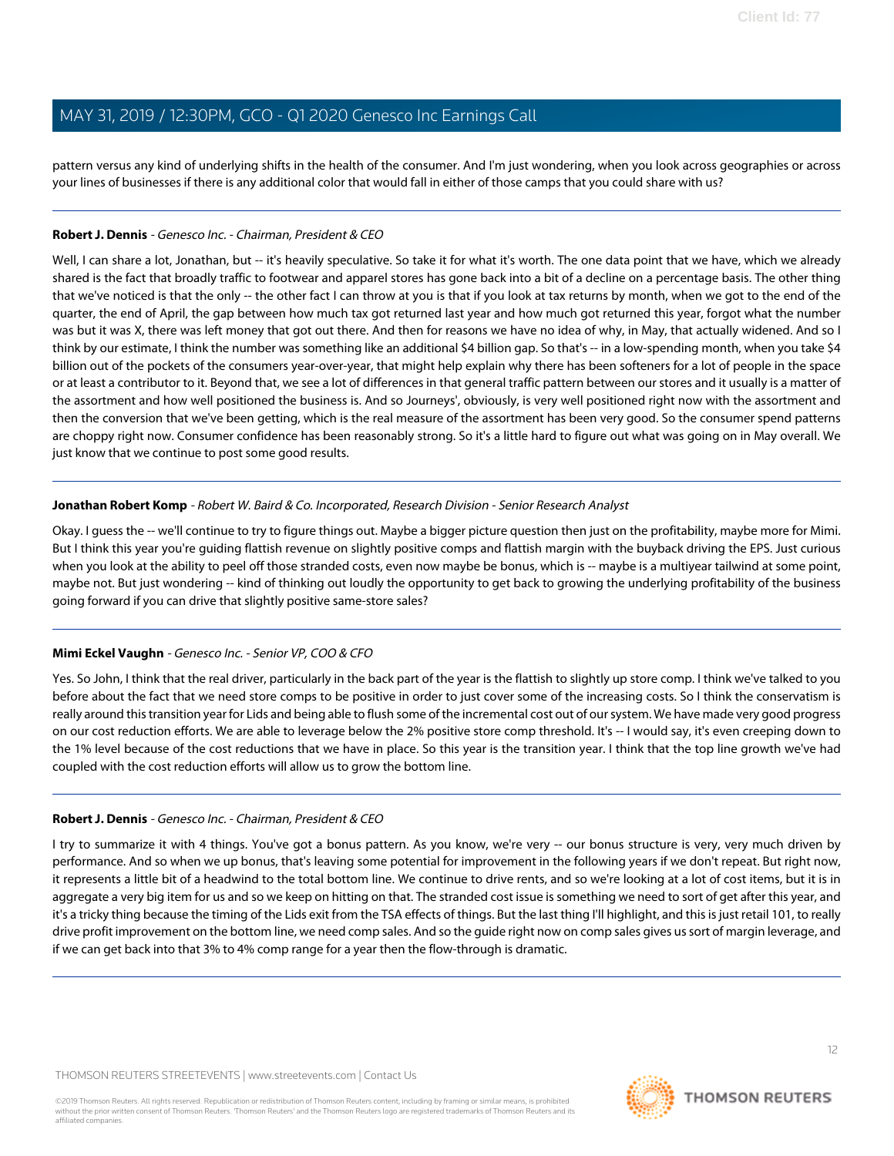pattern versus any kind of underlying shifts in the health of the consumer. And I'm just wondering, when you look across geographies or across your lines of businesses if there is any additional color that would fall in either of those camps that you could share with us?

#### **Robert J. Dennis** - Genesco Inc. - Chairman, President & CEO

Well, I can share a lot, Jonathan, but -- it's heavily speculative. So take it for what it's worth. The one data point that we have, which we already shared is the fact that broadly traffic to footwear and apparel stores has gone back into a bit of a decline on a percentage basis. The other thing that we've noticed is that the only -- the other fact I can throw at you is that if you look at tax returns by month, when we got to the end of the quarter, the end of April, the gap between how much tax got returned last year and how much got returned this year, forgot what the number was but it was X, there was left money that got out there. And then for reasons we have no idea of why, in May, that actually widened. And so I think by our estimate, I think the number was something like an additional \$4 billion gap. So that's -- in a low-spending month, when you take \$4 billion out of the pockets of the consumers year-over-year, that might help explain why there has been softeners for a lot of people in the space or at least a contributor to it. Beyond that, we see a lot of differences in that general traffic pattern between our stores and it usually is a matter of the assortment and how well positioned the business is. And so Journeys', obviously, is very well positioned right now with the assortment and then the conversion that we've been getting, which is the real measure of the assortment has been very good. So the consumer spend patterns are choppy right now. Consumer confidence has been reasonably strong. So it's a little hard to figure out what was going on in May overall. We just know that we continue to post some good results.

#### **Jonathan Robert Komp** - Robert W. Baird & Co. Incorporated, Research Division - Senior Research Analyst

Okay. I guess the -- we'll continue to try to figure things out. Maybe a bigger picture question then just on the profitability, maybe more for Mimi. But I think this year you're guiding flattish revenue on slightly positive comps and flattish margin with the buyback driving the EPS. Just curious when you look at the ability to peel off those stranded costs, even now maybe be bonus, which is -- maybe is a multiyear tailwind at some point, maybe not. But just wondering -- kind of thinking out loudly the opportunity to get back to growing the underlying profitability of the business going forward if you can drive that slightly positive same-store sales?

#### **Mimi Eckel Vaughn** - Genesco Inc. - Senior VP, COO & CFO

Yes. So John, I think that the real driver, particularly in the back part of the year is the flattish to slightly up store comp. I think we've talked to you before about the fact that we need store comps to be positive in order to just cover some of the increasing costs. So I think the conservatism is really around this transition year for Lids and being able to flush some of the incremental cost out of our system. We have made very good progress on our cost reduction efforts. We are able to leverage below the 2% positive store comp threshold. It's -- I would say, it's even creeping down to the 1% level because of the cost reductions that we have in place. So this year is the transition year. I think that the top line growth we've had coupled with the cost reduction efforts will allow us to grow the bottom line.

#### **Robert J. Dennis** - Genesco Inc. - Chairman, President & CEO

I try to summarize it with 4 things. You've got a bonus pattern. As you know, we're very -- our bonus structure is very, very much driven by performance. And so when we up bonus, that's leaving some potential for improvement in the following years if we don't repeat. But right now, it represents a little bit of a headwind to the total bottom line. We continue to drive rents, and so we're looking at a lot of cost items, but it is in aggregate a very big item for us and so we keep on hitting on that. The stranded cost issue is something we need to sort of get after this year, and it's a tricky thing because the timing of the Lids exit from the TSA effects of things. But the last thing I'll highlight, and this is just retail 101, to really drive profit improvement on the bottom line, we need comp sales. And so the guide right now on comp sales gives us sort of margin leverage, and if we can get back into that 3% to 4% comp range for a year then the flow-through is dramatic.

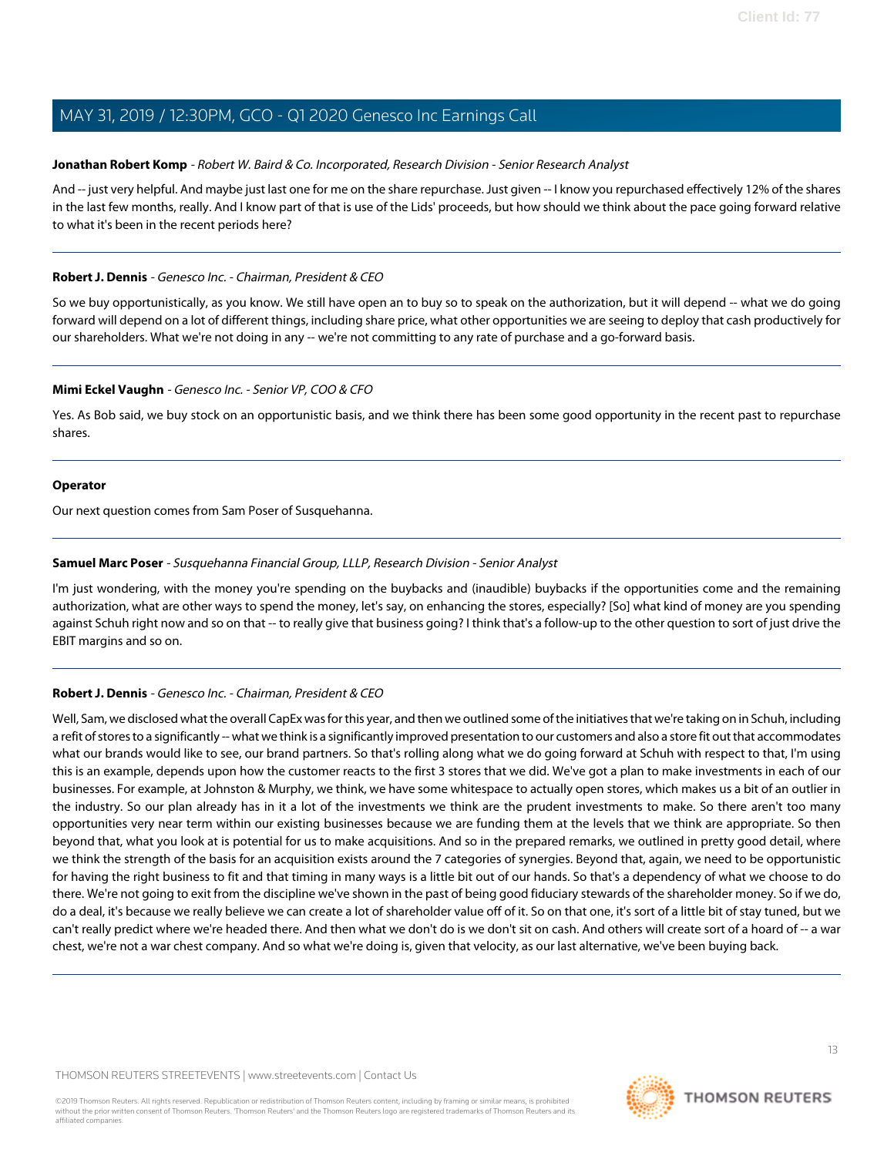#### **Jonathan Robert Komp** - Robert W. Baird & Co. Incorporated, Research Division - Senior Research Analyst

And -- just very helpful. And maybe just last one for me on the share repurchase. Just given -- I know you repurchased effectively 12% of the shares in the last few months, really. And I know part of that is use of the Lids' proceeds, but how should we think about the pace going forward relative to what it's been in the recent periods here?

#### **Robert J. Dennis** - Genesco Inc. - Chairman, President & CEO

So we buy opportunistically, as you know. We still have open an to buy so to speak on the authorization, but it will depend -- what we do going forward will depend on a lot of different things, including share price, what other opportunities we are seeing to deploy that cash productively for our shareholders. What we're not doing in any -- we're not committing to any rate of purchase and a go-forward basis.

#### **Mimi Eckel Vaughn** - Genesco Inc. - Senior VP, COO & CFO

Yes. As Bob said, we buy stock on an opportunistic basis, and we think there has been some good opportunity in the recent past to repurchase shares.

#### **Operator**

<span id="page-12-0"></span>Our next question comes from Sam Poser of Susquehanna.

#### **Samuel Marc Poser** - Susquehanna Financial Group, LLLP, Research Division - Senior Analyst

I'm just wondering, with the money you're spending on the buybacks and (inaudible) buybacks if the opportunities come and the remaining authorization, what are other ways to spend the money, let's say, on enhancing the stores, especially? [So] what kind of money are you spending against Schuh right now and so on that -- to really give that business going? I think that's a follow-up to the other question to sort of just drive the EBIT margins and so on.

#### **Robert J. Dennis** - Genesco Inc. - Chairman, President & CEO

Well, Sam, we disclosed what the overall CapEx was for this year, and then we outlined some of the initiatives that we're taking on in Schuh, including a refit of stores to a significantly -- what we think is a significantly improved presentation to our customers and also a store fit out that accommodates what our brands would like to see, our brand partners. So that's rolling along what we do going forward at Schuh with respect to that, I'm using this is an example, depends upon how the customer reacts to the first 3 stores that we did. We've got a plan to make investments in each of our businesses. For example, at Johnston & Murphy, we think, we have some whitespace to actually open stores, which makes us a bit of an outlier in the industry. So our plan already has in it a lot of the investments we think are the prudent investments to make. So there aren't too many opportunities very near term within our existing businesses because we are funding them at the levels that we think are appropriate. So then beyond that, what you look at is potential for us to make acquisitions. And so in the prepared remarks, we outlined in pretty good detail, where we think the strength of the basis for an acquisition exists around the 7 categories of synergies. Beyond that, again, we need to be opportunistic for having the right business to fit and that timing in many ways is a little bit out of our hands. So that's a dependency of what we choose to do there. We're not going to exit from the discipline we've shown in the past of being good fiduciary stewards of the shareholder money. So if we do, do a deal, it's because we really believe we can create a lot of shareholder value off of it. So on that one, it's sort of a little bit of stay tuned, but we can't really predict where we're headed there. And then what we don't do is we don't sit on cash. And others will create sort of a hoard of -- a war chest, we're not a war chest company. And so what we're doing is, given that velocity, as our last alternative, we've been buying back.